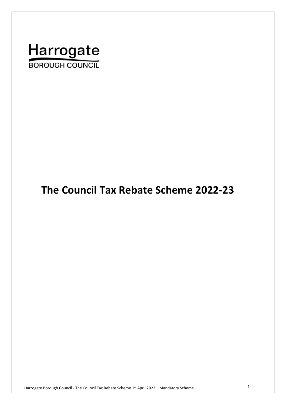

# **The Council Tax Rebate Scheme 2022-23**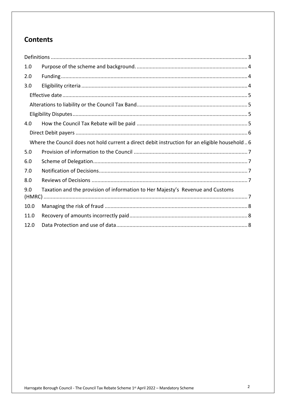## **Contents**

| 1.0  |                                                                                                |  |  |
|------|------------------------------------------------------------------------------------------------|--|--|
| 2.0  |                                                                                                |  |  |
| 3.0  |                                                                                                |  |  |
|      |                                                                                                |  |  |
|      |                                                                                                |  |  |
|      |                                                                                                |  |  |
| 4.0  |                                                                                                |  |  |
|      |                                                                                                |  |  |
|      | Where the Council does not hold current a direct debit instruction for an eligible household 6 |  |  |
| 5.0  |                                                                                                |  |  |
| 6.0  |                                                                                                |  |  |
| 7.0  |                                                                                                |  |  |
| 8.0  |                                                                                                |  |  |
| 9.0  | Taxation and the provision of information to Her Majesty's Revenue and Customs                 |  |  |
| 10.0 |                                                                                                |  |  |
| 11.0 |                                                                                                |  |  |
| 12.0 |                                                                                                |  |  |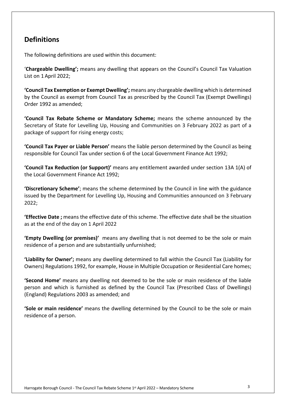### **Definitions**

The following definitions are used within this document:

 '**Chargeable Dwelling';** means any dwelling that appears on the Council's Council Tax Valuation List on 1 April 2022;

 **'Council Tax Exemption or Exempt Dwelling';** means any chargeable dwelling which is determined by the Council as exempt from Council Tax as prescribed by the Council Tax (Exempt Dwellings) Order 1992 as amended;

 **'Council Tax Rebate Scheme or Mandatory Scheme;** means the scheme announced by the Secretary of State for Levelling Up, Housing and Communities on 3 February 2022 as part of a package of support for rising energy costs;

 **'Council Tax Payer or Liable Person'** means the liable person determined by the Council as being responsible for Council Tax under section 6 of the Local Government Finance Act 1992;

 **'Council Tax Reduction (or Support)'** means any entitlement awarded under section 13A 1(A) of the Local Government Finance Act 1992;

 **'Discretionary Scheme'**; means the scheme determined by the Council in line with the guidance issued by the Department for Levelling Up, Housing and Communities announced on 3 February 2022;

 **'Effective Date ;** means the effective date of this scheme. The effective date shall be the situation as at the end of the day on 1 April 2022

 **'Empty Dwelling (or premises)'** means any dwelling that is not deemed to be the sole or main residence of a person and are substantially unfurnished;

 **'Liability for Owner';** means any dwelling determined to fall within the Council Tax (Liability for Owners) Regulations 1992, for example, House in Multiple Occupation or Residential Care homes;

 **'Second Home'** means any dwelling not deemed to be the sole or main residence of the liable person and which is furnished as defined by the Council Tax (Prescribed Class of Dwellings) (England) Regulations 2003 as amended; and

 **'Sole or main residence'** means the dwelling determined by the Council to be the sole or main residence of a person.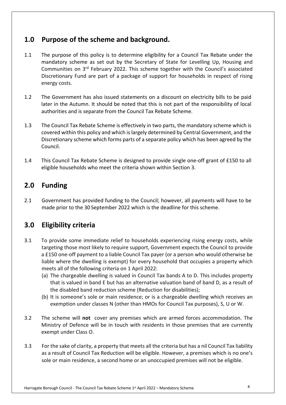### **1.0 Purpose of the scheme and background.**

- $1.1$  mandatory scheme as set out by the Secretary of State for Levelling Up, Housing and Communities on 3<sup>rd</sup> February 2022. This scheme together with the Council's associated Discretionary Fund are part of a package of support for households in respect of rising The purpose of this policy is to determine eligibility for a Council Tax Rebate under the energy costs.
- $1.2$  later in the Autumn. It should be noted that this is not part of the responsibility of local authorities and is separate from the Council Tax Rebate Scheme. The Government has also issued statements on a discount on electricity bills to be paid
- $1.3$  covered within this policy and which is largely determined by Central Government, and the Discretionary scheme which forms parts of a separate policy which has been agreed by the The Council Tax Rebate Scheme is effectively in two parts, the mandatory scheme which is Council.
- $1.4$  eligible households who meet the criteria shown within Section 3. This Council Tax Rebate Scheme is designed to provide single one-off grant of £150 to all

#### $2.0$ **2.0 Funding**

 2.1 Government has provided funding to the Council; however, all payments will have to be made prior to the 30 September 2022 which is the deadline for this scheme.

### **3.0 Eligibility criteria**

- 3.1 To provide some immediate relief to households experiencing rising energy costs, while targeting those most likely to require support, Government expects the Council to provide a £150 one-off payment to a liable Council Tax payer (or a person who would otherwise be liable where the dwelling is exempt) for every household that occupies a property which meets all of the following criteria on 1 April 2022:
	- (a) The chargeable dwelling is valued in Council Tax bands A to D. This includes property that is valued in band E but has an alternative valuation band of band D, as a result of the disabled band reduction scheme (Reduction for disabilities);
	- (b) It is someone's sole or main residence; or is a chargeable dwelling which receives an exemption under classes N (other than HMOs for Council Tax purposes), S, U or W.
- 3.2 The scheme will **not** cover any premises which are armed forces accommodation. The Ministry of Defence will be in touch with residents in those premises that are currently exempt under Class O.
- $3.3$ 3.3 For the sake of clarity, a property that meets all the criteria but has a nil Council Tax liability as a result of Council Tax Reduction will be eligible. However, a premises which is no one's sole or main residence, a second home or an unoccupied premises will not be eligible.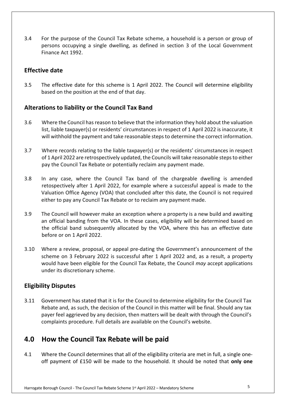3.4 For the purpose of the Council Tax Rebate scheme, a household is a person or group of persons occupying a single dwelling, as defined in section 3 of the Local Government Finance Act 1992.

#### **Effective date**

 $3.5$  based on the position at the end of that day. The effective date for this scheme is 1 April 2022. The Council will determine eligibility

#### **Alterations to liability or the Council Tax Band**

- 3.6 Where the Council has reason to believe that the information they hold about the valuation will withhold the payment and take reasonable steps to determine the correct information. list, liable taxpayer(s) or residents' circumstances in respect of 1 April 2022 is inaccurate, it
- $3.7$ 3.7 Where records relating to the liable taxpayer(s) or the residents' circumstances in respect of 1 April 2022 are retrospectively updated, the Councils will take reasonable steps to either pay the Council Tax Rebate or potentially reclaim any payment made.
- $3.8$  retospectively after 1 April 2022, for example where a successful appeal is made to the Valuation Office Agency (VOA) that concluded after this date, the Council is not required either to pay any Council Tax Rebate or to reclaim any payment made. In any case, where the Council Tax band of the chargeable dwelling is amended
- 3.9 The Council will however make an exception where a property is a new build and awaiting an official banding from the VOA. In these cases, eligibility will be determined based on the official band subsequently allocated by the VOA, where this has an effective date before or on 1 April 2022.
- $3.10$  scheme on 3 February 2022 is successful after 1 April 2022 and, as a result, a property would have been eligible for the Council Tax Rebate, the Council *may* accept applications under its discretionary scheme. Where a review, proposal, or appeal pre-dating the Government's announcement of the

#### **Eligibility Disputes**

 3.11 Government has stated that it is for the Council to determine eligibility for the Council Tax Rebate and, as such, the decision of the Council in this matter will be final. Should any tax payer feel aggrieved by any decision, then matters will be dealt with through the Council's complaints procedure. Full details are available on the Council's website.

### **4.0 How the Council Tax Rebate will be paid**

 $4.1$  off payment of £150 will be made to the household. It should be noted that **only one**  4.1 Where the Council determines that all of the eligibility criteria are met in full, a single one-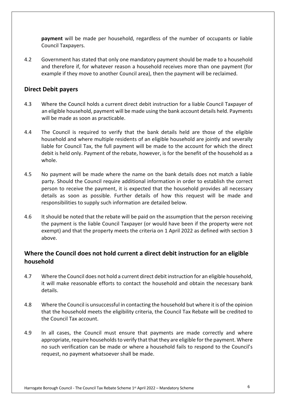**payment** will be made per household, regardless of the number of occupants or liable Council Taxpayers.

4.2 Government has stated that only one mandatory payment should be made to a household and therefore if, for whatever reason a household receives more than one payment (for example if they move to another Council area), then the payment will be reclaimed.

#### **Direct Debit payers**

- $4.3$  an eligible household, payment will be made using the bank account details held. Payments will be made as soon as practicable. 4.3 Where the Council holds a current direct debit instruction for a liable Council Taxpayer of
- $4.4$  household and where multiple residents of an eligible household are jointly and severally liable for Council Tax, the full payment will be made to the account for which the direct debit is held only. Payment of the rebate, however, is for the benefit of the household as a The Council is required to verify that the bank details held are those of the eligible whole.
- $4.5$  party. Should the Council require additional information in order to establish the correct person to receive the payment, it is expected that the household provides all necessary details as soon as possible. Further details of how this request will be made and responsibilities to supply such information are detailed below. No payment will be made where the name on the bank details does not match a liable
- $4.6$  the payment is the liable Council Taxpayer (or would have been if the property were not exempt) and that the property meets the criteria on 1 April 2022 as defined with section 3 It should be noted that the rebate will be paid on the assumption that the person receiving above.

#### **Where the Council does not hold current a direct debit instruction for an eligible household**

- 4.7 Where the Council does not hold a current direct debit instruction for an eligible household, it will make reasonable efforts to contact the household and obtain the necessary bank details.
- 4.8 that the household meets the eligibility criteria, the Council Tax Rebate will be credited to the Council Tax account. Where the Council is unsuccessful in contacting the household but where it is of the opinion
- 4.9 appropriate, require households to verify that that they are eligible for the payment. Where no such verification can be made or where a household fails to respond to the Council's request, no payment whatsoever shall be made. In all cases, the Council must ensure that payments are made correctly and where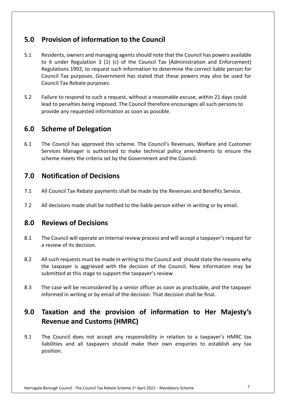### **5.0 Provision of information to the Council**

- 5.1 Residents, owners and managing agents should note that the Council has powers available to it under Regulation 3 (1) (c) of the Council Tax (Administration and Enforcement) Regulations 1992, to request such information to determine the correct liable person for Council Tax purposes. Government has stated that these powers may also be used for Council Tax Rebate purposes.
- $5.2$  lead to penalties being imposed. The Council therefore encourages all such persons to provide any requested information as soon as possible. Failure to respond to such a request, without a reasonable excuse, within 21 days could

### **6.0 Scheme of Delegation**

 $6.1$  Services Manager is authorised to make technical policy amendments to ensure the scheme meets the criteria set by the Government and the Council. The Council has approved this scheme. The Council's Revenues, Welfare and Customer

### **7.0 Notification of Decisions**

- 7.1 All Council Tax Rebate payments shall be made by the Revenues and Benefits Service.
- $7.2$ All decisions made shall be notified to the liable person either in writing or by email.

### **8.0 Reviews of Decisions**

- $8.1$  a review of its decision. 8.1 The Council will operate an internal review process and will accept a taxpayer's request for
- 8.2 All such requests must be made in writing to the Council and should state the reasons why the taxpayer is aggrieved with the decision of the Council. New information may be submitted at this stage to support the taxpayer's review
- 8.3 The case will be reconsidered by a senior officer as soon as practicable, and the taxpayer informed in writing or by email of the decision. That decision shall be final.

## **9.0 Taxation and the provision of information to Her Majesty's Revenue and Customs (HMRC)**

 $9.1$  liabilities and all taxpayers should make their own enquiries to establish any tax The Council does not accept any responsibility in relation to a taxpayer's HMRC tax position.